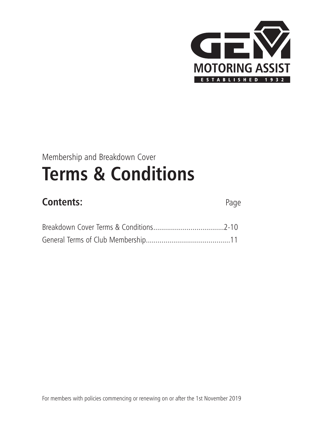

## Membership and Breakdown Cover **Terms & Conditions**

### **Contents:** Page

For members with policies commencing or renewing on or after the 1st November 2019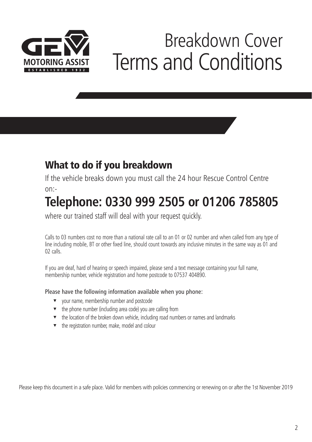

# Breakdown Cover Terms and Conditions

### **What to do if you breakdown**

If the vehicle breaks down you must call the 24 hour Rescue Control Centre on:-

## **Telephone: 0330 999 2505 or 01206 785805**

where our trained staff will deal with your request quickly.

Calls to 03 numbers cost no more than a national rate call to an 01 or 02 number and when called from any type of line including mobile, BT or other fixed line, should count towards any inclusive minutes in the same way as 01 and 02 calls.

If you are deaf, hard of hearing or speech impaired, please send a text message containing your full name, membership number, vehicle registration and home postcode to 07537 404890.

Please have the following information available when you phone:

- v your name, membership number and postcode
- $\bullet$  the phone number (including area code) you are calling from
- $\blacktriangledown$  the location of the broken down vehicle, including road numbers or names and landmarks
- $\bullet$  the registration number, make, model and colour

Please keep this document in a safe place. Valid for members with policies commencing or renewing on or after the 1st November 2019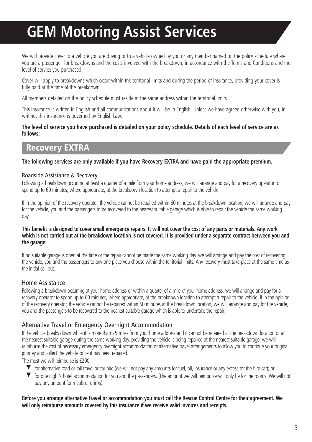## **GEM Motoring Assist Services**

We will provide cover to a vehicle you are driving or to a vehicle owned by you or any member named on the policy schedule where you are a passenger, for breakdowns and the costs involved with the breakdown, in accordance with the Terms and Conditions and the level of service you purchased.

Cover will apply to breakdowns which occur within the territorial limits and during the period of insurance, providing your cover is fully paid at the time of the breakdown.

All members detailed on the policy schedule must reside at the same address within the territorial limits.

This insurance is written in English and all communications about it will be in English. Unless we have agreed otherwise with you, in writing, this insurance is governed by English Law.

#### The level of service you have purchased is detailed on your policy schedule. Details of each level of service are as **follows:**

#### **Recovery EXTRA**

#### The following services are only available if you have Recovery EXTRA and have paid the appropriate premium.

#### Roadside Assistance & Recovery

Following a breakdown occurring at least a quarter of a mile from your home address, we will arrange and pay for a recovery operator to spend up to 60 minutes, where appropriate, at the breakdown location to attempt a repair to the vehicle.

If in the opinion of the recovery operator, the vehicle cannot be repaired within 60 minutes at the breakdown location, we will arrange and pay for the vehicle, you and the passengers to be recovered to the nearest suitable garage which is able to repair the vehicle the same working day.

#### This benefit is designed to cover small emergency repairs. It will not cover the cost of any parts or materials. Any work which is not carried out at the breakdown location is not covered. It is provided under a separate contract between you and **the garage.**

If no suitable garage is open at the time or the repair cannot be made the same working day, we will arrange and pay the cost of recovering the vehicle, you and the passengers to any one place you choose within the territorial limits. Any recovery must take place at the same time as the initial call-out.

#### Home Assistance

Following a breakdown occurring at your home address or within a quarter of a mile of your home address, we will arrange and pay for a recovery operator to spend up to 60 minutes, where appropriate, at the breakdown location to attempt a repair to the vehicle. If in the opinion of the recovery operator, the vehicle cannot be repaired within 60 minutes at the breakdown location, we will arrange and pay for the vehicle, you and the passengers to be recovered to the nearest suitable garage which is able to undertake the repair.

#### Alternative Travel or Emergency Overnight Accommodation

If the vehicle breaks down while it is more than 25 miles from your home address and it cannot be repaired at the breakdown location or at the nearest suitable garage during the same working day, providing the vehicle is being repaired at the nearest suitable garage, we will reimburse the cost of necessary emergency overnight accommodation or alternative travel arrangements to allow you to continue your original journey and collect the vehicle once it has been repaired.

The most we will reimburse is £200:

- $\blacktriangledown$  for alternative road or rail travel or car hire (we will not pay any amounts for fuel, oil, insurance or any excess for the hire car); or
- for one night's hotel accommodation for you and the passengers. (The amount we will reimburse will only be for the rooms. We will not pay any amount for meals or drinks).

#### Before you arrange alternative travel or accommodation you must call the Rescue Control Centre for their agreement. We **will only reimburse amounts covered by this insurance if we receive valid invoices and receipts.**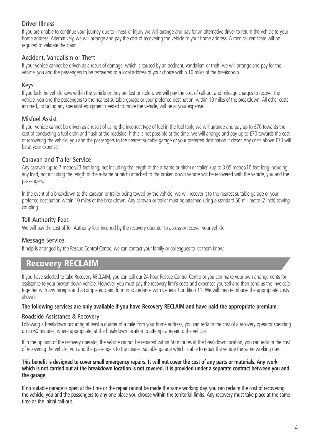#### Driver Illness

If you are unable to continue your journey due to illness or injury we will arrange and pay for an alternative driver to return the vehicle to your home address. Alternatively, we will arrange and pay the cost of recovering the vehicle to your home address. A medical certificate will be required to validate the claim.

#### Accident, Vandalism or Theft

If your vehicle cannot be driven as a result of damage, which is caused by an accident, vandalism or theft, we will arrange and pay for the vehicle, you and the passengers to be recovered to a local address of your choice within 10 miles of the breakdown.

#### Keys

If you lock the vehicle keys within the vehicle or they are lost or stolen, we will pay the cost of call-out and mileage charges to recover the vehicle, you and the passengers to the nearest suitable garage or your preferred destination, within 10 miles of the breakdown. All other costs incurred, including any specialist equipment needed to move the vehicle, will be at your expense.

#### Misfuel Assist

If your vehicle cannot be driven as a result of using the incorrect type of fuel in the fuel tank, we will arrange and pay up to £70 towards the cost of conducting a fuel drain and flush at the roadside. If this is not possible at the time, we will arrange and pay up to £70 towards the cost of recovering the vehicle, you and the passengers to the nearest suitable garage or your preferred destination if closer. Any costs above £70 will be at your expense.

#### Caravan and Trailer Service

Any caravan (up to 7 metres/23 feet long, not including the length of the a-frame or hitch) or trailer (up to 3.05 metres/10 feet long including any load, not including the length of the a-frame or hitch) attached to the broken down vehicle will be recovered with the vehicle, you and the passengers.

In the event of a breakdown to the caravan or trailer being towed by the vehicle, we will recover it to the nearest suitable garage or your preferred destination within 10 miles of the breakdown. Any caravan or trailer must be attached using a standard 50 millimetre (2 inch) towing coupling.

#### Toll Authority Fees

We will pay the cost of Toll Authority fees incurred by the recovery operator to access or recover your vehicle.

#### Message Service

If help is arranged by the Rescue Control Centre, we can contact your family or colleagues to let them know.

#### **Recovery RECLAIM**

If you have selected to take Recovery RECLAIM, you can call our 24 hour Rescue Control Centre or you can make your own arrangements for assistance to your broken down vehicle. However, you must pay the recovery firm's costs and expenses yourself and then send us the invoice(s) together with any receipts and a completed claim form in accordance with General Condition 11. We will then reimburse the appropriate costs shown.

#### The following services are only available if you have Recovery RECLAIM and have paid the appropriate premium.

#### Roadside Assistance & Recovery

Following a breakdown occurring at least a quarter of a mile from your home address, you can reclaim the cost of a recovery operator spending up to 60 minutes, where appropriate, at the breakdown location to attempt a repair to the vehicle.

If in the opinion of the recovery operator, the vehicle cannot be repaired within 60 minutes at the breakdown location, you can reclaim the cost of recovering the vehicle, you and the passengers to the nearest suitable garage which is able to repair the vehicle the same working day.

#### This benefit is designed to cover small emergency repairs. It will not cover the cost of any parts or materials. Any work which is not carried out at the breakdown location is not covered. It is provided under a separate contract between you and **the garage.**

If no suitable garage is open at the time or the repair cannot be made the same working day, you can reclaim the cost of recovering the vehicle, you and the passengers to any one place you choose within the territorial limits. Any recovery must take place at the same time as the initial call-out.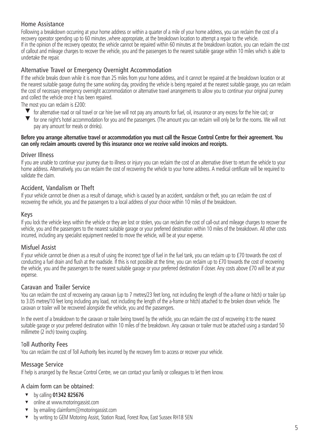#### Home Assistance

Following a breakdown occurring at your home address or within a quarter of a mile of your home address, you can reclaim the cost of a recovery operator spending up to 60 minutes ,where appropriate, at the breakdown location to attempt a repair to the vehicle. If in the opinion of the recovery operator, the vehicle cannot be repaired within 60 minutes at the breakdown location, you can reclaim the cost of callout and mileage charges to recover the vehicle, you and the passengers to the nearest suitable garage within 10 miles which is able to undertake the repair.

#### Alternative Travel or Emergency Overnight Accommodation

If the vehicle breaks down while it is more than 25 miles from your home address, and it cannot be repaired at the breakdown location or at the nearest suitable garage during the same working day, providing the vehicle is being repaired at the nearest suitable garage, you can reclaim the cost of necessary emergency overnight accommodation or alternative travel arrangements to allow you to continue your original journey and collect the vehicle once it has been repaired.

The most you can reclaim is £200:

- $\blacktriangledown$  for alternative road or rail travel or car hire (we will not pay any amounts for fuel, oil, insurance or any excess for the hire car); or
- **T** for one night's hotel accommodation for you and the passengers. (The amount you can reclaim will only be for the rooms. We will not pay any amount for meals or drinks).

#### Before you arrange alternative travel or accommodation you must call the Rescue Control Centre for their agreement. You **can only reclaim amounts covered by this insurance once we receive valid invoices and receipts.**

#### Driver Illness

If you are unable to continue your journey due to illness or injury you can reclaim the cost of an alternative driver to return the vehicle to your home address. Alternatively, you can reclaim the cost of recovering the vehicle to your home address. A medical certificate will be required to validate the claim.

#### Accident, Vandalism or Theft

If your vehicle cannot be driven as a result of damage, which is caused by an accident, vandalism or theft, you can reclaim the cost of recovering the vehicle, you and the passengers to a local address of your choice within 10 miles of the breakdown.

#### Keys

If you lock the vehicle keys within the vehicle or they are lost or stolen, you can reclaim the cost of call-out and mileage charges to recover the vehicle, you and the passengers to the nearest suitable garage or your preferred destination within 10 miles of the breakdown. All other costs incurred, including any specialist equipment needed to move the vehicle, will be at your expense.

#### Misfuel Assist

If your vehicle cannot be driven as a result of using the incorrect type of fuel in the fuel tank, you can reclaim up to £70 towards the cost of conducting a fuel drain and flush at the roadside. If this is not possible at the time, you can reclaim up to £70 towards the cost of recovering the vehicle, you and the passengers to the nearest suitable garage or your preferred destination if closer. Any costs above £70 will be at your expense.

#### Caravan and Trailer Service

You can reclaim the cost of recovering any caravan (up to 7 metres/23 feet long, not including the length of the a-frame or hitch) or trailer (up to 3.05 metres/10 feet long including any load, not including the length of the a-frame or hitch) attached to the broken down vehicle. The caravan or trailer will be recovered alongside the vehicle, you and the passengers.

In the event of a breakdown to the caravan or trailer being towed by the vehicle, you can reclaim the cost of recovering it to the nearest suitable garage or your preferred destination within 10 miles of the breakdown. Any caravan or trailer must be attached using a standard 50 millimetre (2 inch) towing coupling.

#### Toll Authority Fees

You can reclaim the cost of Toll Authority fees incurred by the recovery firm to access or recover your vehicle.

#### Message Service

If help is arranged by the Rescue Control Centre, we can contact your family or colleagues to let them know.

#### A claim form can be obtained:

- <sup>t</sup> by calling **01342 825676**
- online at www.motoringassist.com
- by emailing claimform@motoringassist.com
- by writing to GEM Motoring Assist, Station Road, Forest Row, East Sussex RH18 5EN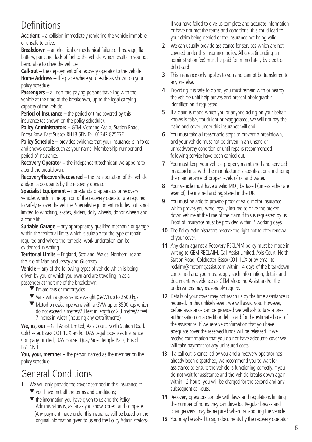### Definitions

**Accident -** a collision immediately rendering the vehicle immobile or unsafe to drive.

**Breakdown –** an electrical or mechanical failure or breakage, flat battery, puncture, lack of fuel to the vehicle which results in you not being able to drive the vehicle.

**Call-out –** the deployment of a recovery operator to the vehicle. **Home Address –** the place where you reside as shown on your policy schedule.

**Passengers –** all non-fare paying persons travelling with the vehicle at the time of the breakdown, up to the legal carrying capacity of the vehicle.

**Period of Insurance –** the period of time covered by this insurance (as shown on the policy schedule).

**Policy Administrators –** GEM Motoring Assist, Station Road, Forest Row, East Sussex RH18 5EN Tel: 01342 825676.

**Policy Schedule** – provides evidence that your insurance is in force and shows details such as your name, Membership number and period of insurance.

**Recovery Operator –** the independent technician we appoint to attend the breakdown.

**Recovery/Recover/Recovered –** the transportation of the vehicle and/or its occupants by the recovery operator.

**Specialist Equipment –** non-standard apparatus or recovery vehicles which in the opinion of the recovery operator are required to safely recover the vehicle. Specialist equipment includes but is not limited to winching, skates, sliders, dolly wheels, donor wheels and a crane lift.

**Suitable Garage** – any appropriately qualified mechanic or garage within the territorial limits which is suitable for the type of repair required and where the remedial work undertaken can be evidenced in writing.

**Territorial Limits –** England, Scotland, Wales, Northern Ireland, the Isle of Man and Jersey and Guernsey.

**Vehicle –** any of the following types of vehicle which is being driven by you or which you own and are travelling in as a passenger at the time of the breakdown:

- $\blacktriangledown$  Private cars or motorcycles
- $\blacktriangledown$  Vans with a gross vehicle weight (GVW) up to 2500 kgs
- $\blacktriangledown$  Motorhomes/campervans with a GVW up to 3500 kgs which do not exceed 7 metres/23 feet in length or 2.3 metres/7 feet 7 inches in width (including any extra fitments)

**We, us, our –** Call Assist Limited, Axis Court, North Station Road, Colchester, Essex CO1 1UX and/or DAS Legal Expenses Insurance Company Limited, DAS House, Quay Side, Temple Back, Bristol BS1 6NH.

**You, your, member –** the person named as the member on the policy schedule.

### General Conditions

- **1** We will only provide the cover described in this insurance if:
	- $\blacktriangledown$  you have met all the terms and conditions;
	- $\blacktriangledown$  the information you have given to us and the Policy Administrators is, as far as you know, correct and complete. (Any payment made under this insurance will be based on the original information given to us and the Policy Administrators).

If you have failed to give us complete and accurate information or have not met the terms and conditions, this could lead to your claim being denied or the insurance not being valid.

- **2** We can usually provide assistance for services which are not covered under this insurance policy. All costs (including an administration fee) must be paid for immediately by credit or debit card.
- **3** This insurance only applies to you and cannot be transferred to anyone else.
- **4** Providing it is safe to do so, you must remain with or nearby the vehicle until help arrives and present photographic identification if requested.
- **5** If a claim is made which you or anyone acting on your behalf knows is false, fraudulent or exaggerated, we will not pay the claim and cover under this insurance will end.
- **6** You must take all reasonable steps to prevent a breakdown, and your vehicle must not be driven in an unsafe or unroadworthy condition or until repairs recommended following service have been carried out.
- **7** You must keep your vehicle properly maintained and serviced in accordance with the manufacturer's specifications, including the maintenance of proper levels of oil and water.
- **8** Your vehicle must have a valid MOT, be taxed (unless either are exempt), be insured and registered in the UK.
- **9** You must be able to provide proof of valid motor insurance which proves you were legally insured to drive the broken down vehicle at the time of the claim if this is requested by us. Proof of insurance must be provided within 7 working days.
- **10** The Policy Administrators reserve the right not to offer renewal of your cover.
- **11** Any claim against a Recovery RECLAIM policy must be made in writing to GEM RECLAIM, Call Assist Limited, Axis Court, North Station Road, Colchester, Essex CO1 1UX or by email to reclaim@motoringassist.com within 14 days of the breakdown concerned and you must supply such information, details and documentary evidence as GEM Motoring Assist and/or the underwriters may reasonably require.
- **12** Details of your cover may not reach us by the time assistance is required. In this unlikely event we will assist you. However, before assistance can be provided we will ask to take a preauthorisation on a credit or debit card for the estimated cost of the assistance. If we receive confirmation that you have adequate cover the reserved funds will be released. If we receive confirmation that you do not have adequate cover we will take payment for any uninsured costs.
- **13** If a call-out is cancelled by you and a recovery operator has already been dispatched, we recommend you to wait for assistance to ensure the vehicle is functioning correctly. If you do not wait for assistance and the vehicle breaks down again within 12 hours, you will be charged for the second and any subsequent call-outs.
- **14** Recovery operators comply with laws and regulations limiting the number of hours they can drive for. Regular breaks and 'changeovers' may be required when transporting the vehicle.
- **15** You may be asked to sign documents by the recovery operator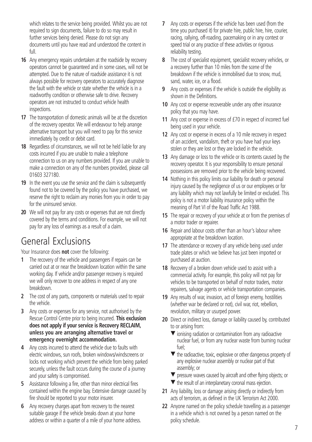which relates to the service being provided. Whilst you are not required to sign documents, failure to do so may result in further services being denied. Please do not sign any documents until you have read and understood the content in full.

- **16** Any emergency repairs undertaken at the roadside by recovery operators cannot be guaranteed and in some cases, will not be attempted. Due to the nature of roadside assistance it is not always possible for recovery operators to accurately diagnose the fault with the vehicle or state whether the vehicle is in a roadworthy condition or otherwise safe to drive. Recovery operators are not instructed to conduct vehicle health inspections.
- **17** The transportation of domestic animals will be at the discretion of the recovery operator. We will endeavour to help arrange alternative transport but you will need to pay for this service immediately by credit or debit card.
- **18** Regardless of circumstances, we will not be held liable for any costs incurred if you are unable to make a telephone connection to us on any numbers provided. If you are unable to make a connection on any of the numbers provided, please call 01603 327180.
- **19** In the event you use the service and the claim is subsequently found not to be covered by the policy you have purchased, we reserve the right to reclaim any monies from you in order to pay for the uninsured service.
- **20** We will not pay for any costs or expenses that are not directly covered by the terms and conditions. For example, we will not pay for any loss of earnings as a result of a claim.

### General Exclusions

Your Insurance does **not** cover the following:

- **1** The recovery of the vehicle and passengers if repairs can be carried out at or near the breakdown location within the same working day. If vehicle and/or passenger recovery is required we will only recover to one address in respect of any one breakdown.
- **2** The cost of any parts, components or materials used to repair the vehicle.
- **3** Any costs or expenses for any service, not authorised by the Rescue Control Centre prior to being incurred. **This exclusion does not apply if your service is Recovery RECLAIM, unless you are arranging alternative travel or emergency overnight accommodation.**
- **4** Any costs incurred to attend the vehicle due to faults with electric windows, sun roofs, broken windows/windscreens or locks not working which prevent the vehicle from being parked securely, unless the fault occurs during the course of a journey and your safety is compromised.
- **5** Assistance following a fire, other than minor electrical fires contained within the engine bay. Extensive damage caused by fire should be reported to your motor insurer.
- **6** Any recovery charges apart from recovery to the nearest suitable garage if the vehicle breaks down at your home address or within a quarter of a mile of your home address.
- **7** Any costs or expenses if the vehicle has been used (from the time you purchased it) for private hire, public hire, hire, courier, racing, rallying, off-roading, pacemaking or in any contest or speed trial or any practice of these activities or rigorous reliability testing.
- **8** The cost of specialist equipment, specialist recovery vehicles, or a recovery further than 10 miles from the scene of the breakdown if the vehicle is immobilised due to snow, mud, sand, water, ice, or a flood.
- **9** Any costs or expenses if the vehicle is outside the eligibility as shown in the Definitions.
- **10** Any cost or expense recoverable under any other insurance policy that you may have.
- **11** Any cost or expense in excess of £70 in respect of incorrect fuel being used in your vehicle.
- **12** Any cost or expense in excess of a 10 mile recovery in respect of an accident, vandalism, theft or you have had your keys stolen or they are lost or they are locked in the vehicle.
- **13** Any damage or loss to the vehicle or its contents caused by the recovery operator. It is your responsibility to ensure personal possessions are removed prior to the vehicle being recovered.
- **14** Nothing in this policy limits our liability for death or personal injury caused by the negligence of us or our employees or for any liability which may not lawfully be limited or excluded. This policy is not a motor liability insurance policy within the meaning of Part VI of the Road Traffic Act 1988.
- **15** The repair or recovery of your vehicle at or from the premises of a motor trader or repairer.
- **16** Repair and labour costs other than an hour's labour where appropriate at the breakdown location.
- **17** The attendance or recovery of any vehicle being used under trade plates or which we believe has just been imported or purchased at auction.
- **18** Recovery of a broken down vehicle used to assist with a commercial activity. For example, this policy will not pay for vehicles to be transported on behalf of motor traders, motor repairers, salvage agents or vehicle transportation companies.
- **19** Any results of war, invasion, act of foreign enemy, hostilities (whether war be declared or not), civil war, riot, rebellion, revolution, military or usurped power.
- **20** Direct or indirect loss, damage or liability caused by, contributed to or arising from:
	- $\blacktriangledown$  ionising radiation or contamination from any radioactive nuclear fuel, or from any nuclear waste from burning nuclear fuel;
	- $\blacktriangledown$  the radioactive, toxic, explosive or other dangerous property of any explosive nuclear assembly or nuclear part of that assembly; or
	- $\blacktriangledown$  pressure waves caused by aircraft and other flying objects; or
	- $\blacktriangledown$  the result of an interplanetary coronal mass ejection.
- **21** Any liability, loss or damage arising directly or indirectly from acts of terrorism, as defined in the UK Terrorism Act 2000.
- **22** Anyone named on the policy schedule travelling as a passenger in a vehicle which is not owned by a person named on the policy schedule.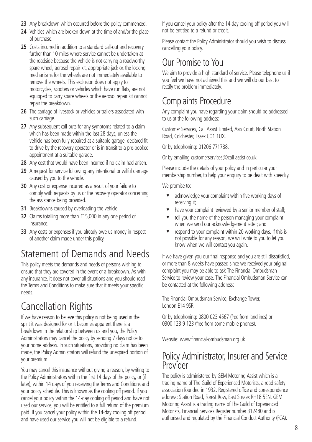- **23** Any breakdown which occurred before the policy commenced.
- **24** Vehicles which are broken down at the time of and/or the place of purchase.
- **25** Costs incurred in addition to a standard call-out and recovery further than 10 miles where service cannot be undertaken at the roadside because the vehicle is not carrying a roadworthy spare wheel, aerosol repair kit, appropriate jack or, the locking mechanisms for the wheels are not immediately available to remove the wheels. This exclusion does not apply to motorcycles, scooters or vehicles which have run flats, are not equipped to carry spare wheels or the aerosol repair kit cannot repair the breakdown.
- 26 The carriage of livestock or vehicles or trailers associated with such carriage.
- **27** Any subsequent call-outs for any symptoms related to a claim which has been made within the last 28 days, unless the vehicle has been fully repaired at a suitable garage, declared fit to drive by the recovery operator or is in transit to a pre-booked appointment at a suitable garage.
- **28** Any cost that would have been incurred if no claim had arisen.
- **29** A request for service following any intentional or wilful damage caused by you to the vehicle.
- **30** Any cost or expense incurred as a result of your failure to comply with requests by us or the recovery operator concerning the assistance being provided.
- **31** Breakdowns caused by overloading the vehicle.
- **32** Claims totalling more than £15,000 in any one period of insurance.
- **33** Any costs or expenses if you already owe us money in respect of another claim made under this policy.

### Statement of Demands and Needs

This policy meets the demands and needs of persons wishing to ensure that they are covered in the event of a breakdown. As with any insurance, it does not cover all situations and you should read the Terms and Conditions to make sure that it meets your specific needs.

### Cancellation Rights

If we have reason to believe this policy is not being used in the spirit it was designed for or it becomes apparent there is a breakdown in the relationship between us and you, the Policy Administrators may cancel the policy by sending 7 days notice to your home address. In such situations, providing no claim has been made, the Policy Administrators will refund the unexpired portion of your premium.

You may cancel this insurance without giving a reason, by writing to the Policy Administrators within the first 14 days of the policy, or (if later), within 14 days of you receiving the Terms and Conditions and your policy schedule. This is known as the cooling off period. If you cancel your policy within the 14-day cooling off period and have not used our service, you will be entitled to a full refund of the premium paid. If you cancel your policy within the 14-day cooling off period and have used our service you will not be eligible to a refund.

If you cancel your policy after the 14-day cooling off period you will not be entitled to a refund or credit.

Please contact the Policy Administrator should you wish to discuss cancelling your policy.

### Our Promise to You

We aim to provide a high standard of service. Please telephone us if you feel we have not achieved this and we will do our best to rectify the problem immediately.

### Complaints Procedure

Any complaint you have regarding your claim should be addressed to us at the following address:

Customer Services, Call Assist Limited, Axis Court, North Station Road, Colchester, Essex CO1 1UX.

Or by telephoning: 01206 771788.

Or by emailing customerservices  $\oslash$  call-assist.co.uk

Please include the details of your policy and in particular your membership number, to help your enquiry to be dealt with speedily.

We promise to:

- acknowledge your complaint within five working days of receiving it;
- have your complaint reviewed by a senior member of staff;
- tell you the name of the person managing your complaint when we send our acknowledgement letter; and
- respond to your complaint within 20 working days. If this is not possible for any reason, we will write to you to let you know when we will contact you again.

If we have given you our final response and you are still dissatisfied, or more than 8 weeks have passed since we received your original complaint you may be able to ask The Financial Ombudsman Service to review your case. The Financial Ombudsman Service can be contacted at the following address:

The Financial Ombudsman Service, Exchange Tower, London E14 9SR.

Or by telephoning: 0800 023 4567 (free from landlines) or 0300 123 9 123 (free from some mobile phones).

Website: www.financial-ombudsman.org.uk

### Policy Administrator, Insurer and Service Provider

The policy is administered by GEM Motoring Assist which is a trading name of The Guild of Experienced Motorists, a road safety association founded in 1932. Registered office and correspondence address: Station Road, Forest Row, East Sussex RH18 5EN. GEM Motoring Assist is a trading name of The Guild of Experienced Motorists, Financial Services Register number 312480 and is authorised and regulated by the Financial Conduct Authority (FCA).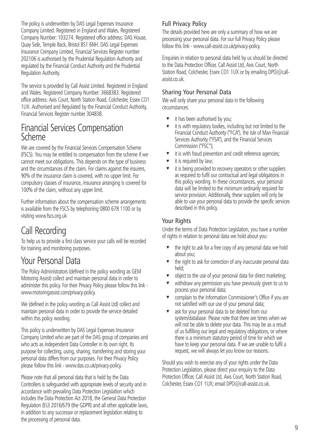The policy is underwritten by DAS Legal Expenses Insurance Company Limited. Registered in England and Wales. Registered Company Number: 103274. Registered office address: DAS House, Quay Side, Temple Back, Bristol BS1 6NH. DAS Legal Expenses Insurance Company Limited, Financial Services Register number 202106 is authorised by the Prudential Regulation Authority and regulated by the Financial Conduct Authority and the Prudential Regulation Authority.

The service is provided by Call Assist Limited. Registered in England and Wales. Registered Company Number: 3668383. Registered office address: Axis Court, North Station Road, Colchester, Essex CO1 1UX. Authorised and Regulated by the Financial Conduct Authority, Financial Services Register number 304838.

### Financial Services Compensation Scheme

We are covered by the Financial Services Compensation Scheme (FSCS). You may be entitled to compensation from the scheme if we cannot meet our obligations. This depends on the type of business and the circumstances of the claim. For claims against the insurers, 90% of the insurance claim is covered, with no upper limit. For compulsory classes of insurance, insurance arranging is covered for 100% of the claim, without any upper limit.

Further information about the compensation scheme arrangements is available from the FSCS by telephoning 0800 678 1100 or by visiting www.fscs.org.uk

### Call Recording

To help us to provide a first class service your calls will be recorded for training and monitoring purposes.

### Your Personal Data

The Policy Administrators (defined in the policy wording as GEM Motoring Assist) collect and maintain personal data in order to administer this policy. For their Privacy Policy please follow this link www.motoringassist.com/privacy-policy.

We (defined in the policy wording as Call Assist Ltd) collect and maintain personal data in order to provide the service detailed within this policy wording.

This policy is underwritten by DAS Legal Expenses Insurance Company Limited who are part of the DAS group of companies and who acts as independent Data Controller in its own right. Its purpose for collecting, using, sharing, transferring and storing your personal data differs from our purposes. For their Privacy Policy please follow this link - www.das.co.uk/privacy-policy.

Please note that all personal data that is held by the Data Controllers is safeguarded with appropriate levels of security and in accordance with prevailing Data Protection Legislation which includes the Data Protection Act 2018, the General Data Protection Regulation (EU) 2016/679 (the GDPR) and all other applicable laws, in addition to any successor or replacement legislation relating to the processing of personal data.

#### Full Privacy Policy

The details provided here are only a summary of how we are processing your personal data. For our full Privacy Policy please follow this link - www.call-assist.co.uk/privacy-policy.

Enquiries in relation to personal data held by us should be directed to the Data Protection Officer, Call Assist Ltd, Axis Court, North Station Road, Colchester, Essex CO1 1UX or by emailing DPO@callassist.co.uk.

#### Sharing Your Personal Data

We will only share your personal data in the following circumstances:

- it has been authorised by you;
- <sup>t</sup> it is with regulatory bodies, including but not limited to the Financial Conduct Authority ("FCA"), the Isle of Man Financial Services Authority ("FSA"), and the Financial Services Commission ("FSC");
- $\bullet$  it is with fraud prevention and credit reference agencies;
- it is required by law;
- <sup>t</sup> it is being provided to recovery operators or other suppliers as required to fulfil our contractual and legal obligations in this policy wording. In these circumstances, your personal data will be limited to the minimum ordinarily required for service provision. Additionally, these suppliers will only be able to use your personal data to provide the specific services described in this policy.

#### Your Rights

Under the terms of Data Protection Legislation, you have a number of rights in relation to personal data we hold about you:

- $\bullet$  the right to ask for a free copy of any personal data we hold about you;
- $\bullet$  the right to ask for correction of any inaccurate personal data held;
- object to the use of your personal data for direct marketing;
- withdraw any permission you have previously given to us to process your personal data;
- **v** complain to the Information Commissioner's Office if you are not satisfied with our use of your personal data;
- ask for your personal data to be deleted from our system/database. Please note that there are times when we will not be able to delete your data. This may be as a result of us fulfilling our legal and regulatory obligations, or where there is a minimum statutory period of time for which we have to keep your personal data. If we are unable to fulfil a request, we will always let you know our reasons.

Should you wish to exercise any of your rights under the Data Protection Legislation, please direct your enquiry to the Data Protection Officer, Call Assist Ltd, Axis Court, North Station Road, Colchester, Essex CO1 1UX; email DPO@call-assist.co.uk.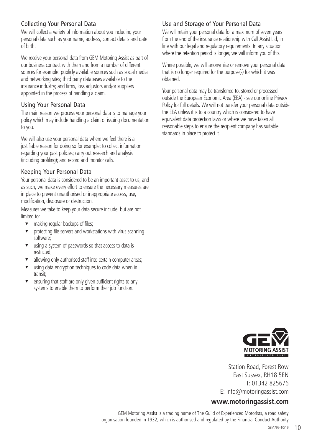#### Collecting Your Personal Data

We will collect a variety of information about you including your personal data such as your name, address, contact details and date of birth.

We receive your personal data from GEM Motoring Assist as part of our business contract with them and from a number of different sources for example: publicly available sources such as social media and networking sites; third party databases available to the insurance industry; and firms, loss adjustors and/or suppliers appointed in the process of handling a claim.

#### Using Your Personal Data

The main reason we process your personal data is to manage your policy which may include handling a claim or issuing documentation to you.

We will also use your personal data where we feel there is a justifiable reason for doing so for example: to collect information regarding your past policies; carry out research and analysis (including profiling); and record and monitor calls.

#### Keeping Your Personal Data

Your personal data is considered to be an important asset to us, and as such, we make every effort to ensure the necessary measures are in place to prevent unauthorised or inappropriate access, use, modification, disclosure or destruction.

Measures we take to keep your data secure include, but are not limited to:

- making regular backups of files;
- protecting file servers and workstations with virus scanning software;
- using a system of passwords so that access to data is restricted;
- allowing only authorised staff into certain computer areas:
- using data encryption techniques to code data when in transit;
- ensuring that staff are only given sufficient rights to any systems to enable them to perform their job function.

#### Use and Storage of Your Personal Data

We will retain your personal data for a maximum of seven years from the end of the insurance relationship with Call Assist Ltd, in line with our legal and regulatory requirements. In any situation where the retention period is longer, we will inform you of this.

Where possible, we will anonymise or remove your personal data that is no longer required for the purpose(s) for which it was obtained.

Your personal data may be transferred to, stored or processed outside the European Economic Area (EEA) - see our online Privacy Policy for full details. We will not transfer your personal data outside the EEA unless it is to a country which is considered to have equivalent data protection laws or where we have taken all reasonable steps to ensure the recipient company has suitable standards in place to protect it.



Station Road, Forest Row East Sussex, RH18 5EN T: 01342 825676 E: info@motoringassist.com

#### **www.motoringassist.com**

GEM Motoring Assist is a trading name of The Guild of Experienced Motorists, a road safety organisation founded in 1932, which is authorised and regulated by the Financial Conduct Authority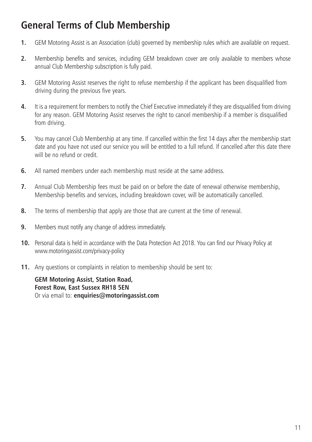### **General Terms of Club Membership**

- **1.** GEM Motoring Assist is an Association (club) governed by membership rules which are available on request.
- **2.** Membership benefits and services, including GEM breakdown cover are only available to members whose annual Club Membership subscription is fully paid.
- **3.** GEM Motoring Assist reserves the right to refuse membership if the applicant has been disqualified from driving during the previous five years.
- **4.** It is a requirement for members to notify the Chief Executive immediately if they are disqualified from driving for any reason. GEM Motoring Assist reserves the right to cancel membership if a member is disqualified from driving.
- **5.** You may cancel Club Membership at any time. If cancelled within the first 14 days after the membership start date and you have not used our service you will be entitled to a full refund. If cancelled after this date there will be no refund or credit.
- **6.** All named members under each membership must reside at the same address.
- **7.** Annual Club Membership fees must be paid on or before the date of renewal otherwise membership, Membership benefits and services, including breakdown cover, will be automatically cancelled.
- **8.** The terms of membership that apply are those that are current at the time of renewal.
- **9.** Members must notify any change of address immediately.
- **10.** Personal data is held in accordance with the Data Protection Act 2018. You can find our Privacy Policy at www.motoringassist.com/privacy-policy
- **11.** Any questions or complaints in relation to membership should be sent to:

**GEM Motoring Assist, Station Road, Forest Row, East Sussex RH18 5EN** Or via email to: **enquiries@motoringassist.com**